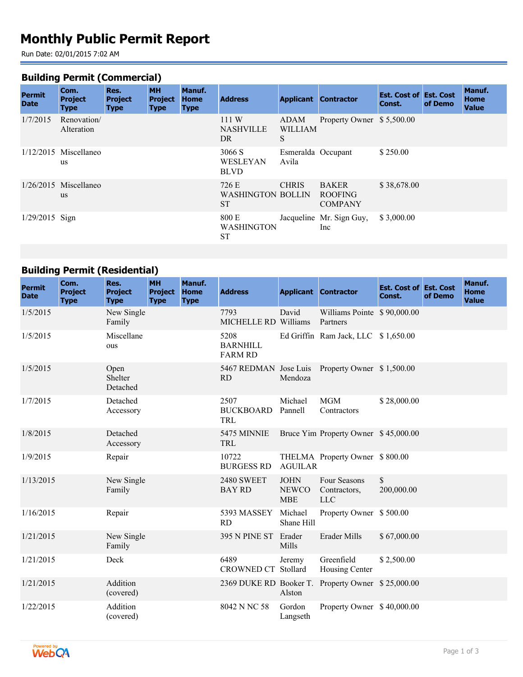# **Monthly Public Permit Report**

Run Date: 02/01/2015 7:02 AM

### **Building Permit (Commercial)**

| <b>Permit</b><br><b>Date</b> | Com.<br><b>Project</b><br><b>Type</b> | Res.<br><b>Project</b><br><b>Type</b> | <b>MH</b><br><b>Project</b><br><b>Type</b> | <b>Manuf.</b><br><b>Home</b><br><b>Type</b> | <b>Address</b>                                 |                             | <b>Applicant Contractor</b>                      | <b>Est. Cost of Est. Cost</b><br>Const. | of Demo | Manuf.<br><b>Home</b><br><b>Value</b> |
|------------------------------|---------------------------------------|---------------------------------------|--------------------------------------------|---------------------------------------------|------------------------------------------------|-----------------------------|--------------------------------------------------|-----------------------------------------|---------|---------------------------------------|
| 1/7/2015                     | Renovation/<br>Alteration             |                                       |                                            |                                             | 111 W<br><b>NASHVILLE</b><br>DR.               | ADAM<br><b>WILLIAM</b><br>S | Property Owner \$5,500.00                        |                                         |         |                                       |
|                              | $1/12/2015$ Miscellaneo<br><b>us</b>  |                                       |                                            |                                             | 3066 S<br><b>WESLEYAN</b><br><b>BLVD</b>       | Esmeralda Occupant<br>Avila |                                                  | \$250.00                                |         |                                       |
|                              | $1/26/2015$ Miscellaneo<br><b>us</b>  |                                       |                                            |                                             | 726 E<br><b>WASHINGTON BOLLIN</b><br><b>ST</b> | <b>CHRIS</b>                | <b>BAKER</b><br><b>ROOFING</b><br><b>COMPANY</b> | \$38,678.00                             |         |                                       |
| $1/29/2015$ Sign             |                                       |                                       |                                            |                                             | 800 E<br><b>WASHINGTON</b><br><b>ST</b>        |                             | Jacqueline Mr. Sign Guy,<br>Inc                  | \$3,000.00                              |         |                                       |

## **Building Permit (Residential)**

| <b>Permit</b><br><b>Date</b> | Com.<br><b>Project</b><br><b>Type</b> | Res.<br><b>Project</b><br><b>Type</b> | <b>MH</b><br><b>Project</b><br><b>Type</b> | Manuf.<br><b>Home</b><br><b>Type</b> | <b>Address</b>                            |                                           | <b>Applicant Contractor</b>                | <b>Est. Cost of Est. Cost</b><br>Const. | of Demo | Manuf.<br><b>Home</b><br><b>Value</b> |
|------------------------------|---------------------------------------|---------------------------------------|--------------------------------------------|--------------------------------------|-------------------------------------------|-------------------------------------------|--------------------------------------------|-----------------------------------------|---------|---------------------------------------|
| 1/5/2015                     |                                       | New Single<br>Family                  |                                            |                                      | 7793<br>MICHELLE RD Williams              | David                                     | Williams Pointe \$90,000.00<br>Partners    |                                         |         |                                       |
| 1/5/2015                     |                                       | Miscellane<br>ous                     |                                            |                                      | 5208<br><b>BARNHILL</b><br><b>FARM RD</b> |                                           | Ed Griffin Ram Jack, LLC \$1,650.00        |                                         |         |                                       |
| 1/5/2015                     |                                       | Open<br>Shelter<br>Detached           |                                            |                                      | 5467 REDMAN Jose Luis<br><b>RD</b>        | Mendoza                                   | Property Owner \$1,500.00                  |                                         |         |                                       |
| 1/7/2015                     |                                       | Detached<br>Accessory                 |                                            |                                      | 2507<br><b>BUCKBOARD</b><br>TRL           | Michael<br>Pannell                        | <b>MGM</b><br>Contractors                  | \$28,000.00                             |         |                                       |
| 1/8/2015                     |                                       | Detached<br>Accessory                 |                                            |                                      | 5475 MINNIE<br>TRL                        |                                           | Bruce Yim Property Owner \$45,000.00       |                                         |         |                                       |
| 1/9/2015                     |                                       | Repair                                |                                            |                                      | 10722<br><b>BURGESS RD</b>                | <b>AGUILAR</b>                            | THELMA Property Owner \$800.00             |                                         |         |                                       |
| 1/13/2015                    |                                       | New Single<br>Family                  |                                            |                                      | <b>2480 SWEET</b><br><b>BAY RD</b>        | <b>JOHN</b><br><b>NEWCO</b><br><b>MBE</b> | Four Seasons<br>Contractors,<br><b>LLC</b> | \$<br>200,000.00                        |         |                                       |
| 1/16/2015                    |                                       | Repair                                |                                            |                                      | 5393 MASSEY<br>RD                         | Michael<br>Shane Hill                     | Property Owner \$500.00                    |                                         |         |                                       |
| 1/21/2015                    |                                       | New Single<br>Family                  |                                            |                                      | <b>395 N PINE ST</b>                      | Erader<br>Mills                           | Erader Mills                               | \$67,000.00                             |         |                                       |
| 1/21/2015                    |                                       | Deck                                  |                                            |                                      | 6489<br><b>CROWNED CT</b>                 | Jeremy<br>Stollard                        | Greenfield<br>Housing Center               | \$2,500.00                              |         |                                       |
| 1/21/2015                    |                                       | Addition<br>(covered)                 |                                            |                                      | 2369 DUKE RD Booker T.                    | Alston                                    | Property Owner \$25,000.00                 |                                         |         |                                       |
| 1/22/2015                    |                                       | Addition<br>(covered)                 |                                            |                                      | 8042 N NC 58                              | Gordon<br>Langseth                        | Property Owner \$40,000.00                 |                                         |         |                                       |

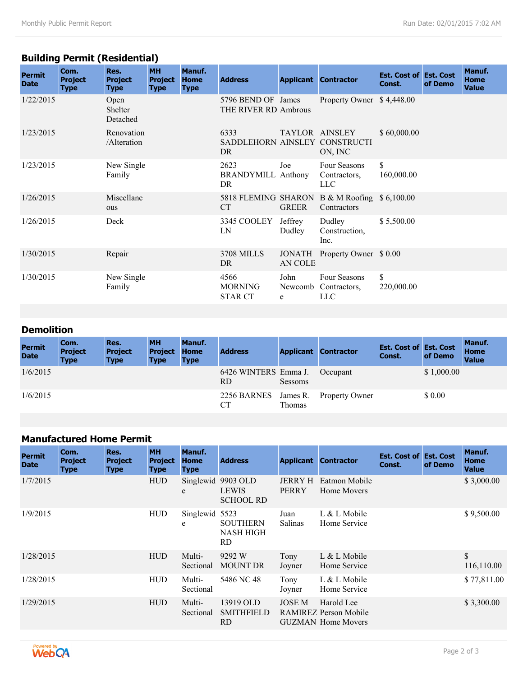## **Building Permit (Residential)**

| <b>Permit</b><br><b>Date</b> | Com.<br><b>Project</b><br><b>Type</b> | Res.<br><b>Project</b><br><b>Type</b> | <b>MH</b><br><b>Project</b><br><b>Type</b> | Manuf.<br><b>Home</b><br><b>Type</b> | <b>Address</b>                              |                          | <b>Applicant Contractor</b>                        | <b>Est. Cost of Est. Cost</b><br>Const. | of Demo | Manuf.<br><b>Home</b><br><b>Value</b> |
|------------------------------|---------------------------------------|---------------------------------------|--------------------------------------------|--------------------------------------|---------------------------------------------|--------------------------|----------------------------------------------------|-----------------------------------------|---------|---------------------------------------|
| 1/22/2015                    |                                       | Open<br>Shelter<br>Detached           |                                            |                                      | 5796 BEND OF James<br>THE RIVER RD Ambrous  |                          | Property Owner \$4,448.00                          |                                         |         |                                       |
| 1/23/2015                    |                                       | Renovation<br>/Alteration             |                                            |                                      | 6333<br>SADDLEHORN AINSLEY CONSTRUCTI<br>DR |                          | TAYLOR AINSLEY<br>ON, INC                          | \$60,000.00                             |         |                                       |
| 1/23/2015                    |                                       | New Single<br>Family                  |                                            |                                      | 2623<br><b>BRANDYMILL Anthony</b><br>DR     | Joe                      | Four Seasons<br>Contractors,<br><b>LLC</b>         | \$<br>160,000.00                        |         |                                       |
| 1/26/2015                    |                                       | Miscellane<br>ous                     |                                            |                                      | 5818 FLEMING SHARON<br><b>CT</b>            | <b>GREER</b>             | B & M Roofing $$6,100.00$<br>Contractors           |                                         |         |                                       |
| 1/26/2015                    |                                       | Deck                                  |                                            |                                      | 3345 COOLEY<br>LN                           | Jeffrey<br>Dudley        | Dudley<br>Construction,<br>Inc.                    | \$5,500.00                              |         |                                       |
| 1/30/2015                    |                                       | Repair                                |                                            |                                      | <b>3708 MILLS</b><br>DR.                    | <b>JONATH</b><br>AN COLE | Property Owner \$ 0.00                             |                                         |         |                                       |
| 1/30/2015                    |                                       | New Single<br>Family                  |                                            |                                      | 4566<br><b>MORNING</b><br><b>STAR CT</b>    | John<br>e                | Four Seasons<br>Newcomb Contractors,<br><b>LLC</b> | \$<br>220,000.00                        |         |                                       |

## **Demolition**

| <b>Permit</b><br><b>Date</b> | Com.<br><b>Project</b><br><b>Type</b> | Res.<br><b>Project</b><br><b>Type</b> | <b>MH</b><br><b>Project</b><br><b>Type</b> | Manuf.<br><b>Home</b><br><b>Type</b> | <b>Address</b>              |                    | <b>Applicant Contractor</b> | <b>Est. Cost of Est. Cost</b><br>Const. | of Demo    | Manuf.<br><b>Home</b><br><b>Value</b> |
|------------------------------|---------------------------------------|---------------------------------------|--------------------------------------------|--------------------------------------|-----------------------------|--------------------|-----------------------------|-----------------------------------------|------------|---------------------------------------|
| 1/6/2015                     |                                       |                                       |                                            |                                      | 6426 WINTERS Emma J.<br>RD. | Sessoms            | Occupant                    |                                         | \$1,000.00 |                                       |
| 1/6/2015                     |                                       |                                       |                                            |                                      | 2256 BARNES                 | James R.<br>Thomas | <b>Property Owner</b>       |                                         | \$ 0.00    |                                       |

## **Manufactured Home Permit**

| <b>Permit</b><br><b>Date</b> | Com.<br><b>Project</b><br><b>Type</b> | Res.<br><b>Project</b><br><b>Type</b> | <b>MH</b><br><b>Project</b><br><b>Type</b> | Manuf.<br>Home<br><b>Type</b> | <b>Address</b>                               |                                | <b>Applicant Contractor</b>                                             | <b>Est. Cost of Est. Cost</b><br>Const. | of Demo | Manuf.<br><b>Home</b><br><b>Value</b> |
|------------------------------|---------------------------------------|---------------------------------------|--------------------------------------------|-------------------------------|----------------------------------------------|--------------------------------|-------------------------------------------------------------------------|-----------------------------------------|---------|---------------------------------------|
| 1/7/2015                     |                                       |                                       | <b>HUD</b>                                 | Singlewid<br>e                | 9903 OLD<br><b>LEWIS</b><br><b>SCHOOL RD</b> | <b>JERRY H</b><br><b>PERRY</b> | Eatmon Mobile<br>Home Movers                                            |                                         |         | \$3,000.00                            |
| 1/9/2015                     |                                       |                                       | <b>HUD</b>                                 | Singlewid 5523<br>e           | <b>SOUTHERN</b><br><b>NASH HIGH</b><br>RD.   | Juan<br><b>Salinas</b>         | L & L Mobile<br>Home Service                                            |                                         |         | \$9,500.00                            |
| 1/28/2015                    |                                       |                                       | <b>HUD</b>                                 | Multi-<br>Sectional           | 9292 W<br><b>MOUNT DR</b>                    | Tony<br>Joyner                 | $L & L$ Mobile<br>Home Service                                          |                                         |         | \$<br>116,110.00                      |
| 1/28/2015                    |                                       |                                       | <b>HUD</b>                                 | Multi-<br>Sectional           | 5486 NC 48                                   | Tony<br>Joyner                 | $L & L$ Mobile<br>Home Service                                          |                                         |         | \$77,811.00                           |
| 1/29/2015                    |                                       |                                       | <b>HUD</b>                                 | Multi-<br>Sectional           | 13919 OLD<br><b>SMITHFIELD</b><br>RD.        | <b>JOSE M</b>                  | Harold Lee<br><b>RAMIREZ Person Mobile</b><br><b>GUZMAN</b> Home Movers |                                         |         | \$3,300.00                            |